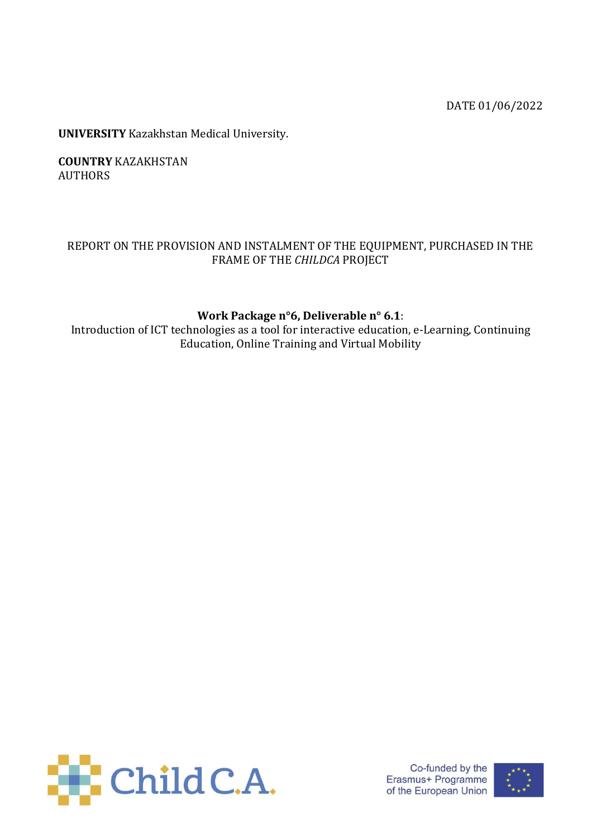DATE 01/06/2022

**UNIVERSITY** Kazakhstan Medical University.

**COUNTRY** KAZAKHSTAN AUTHORS

## REPORT ON THE PROVISION AND INSTALMENT OF THE EQUIPMENT, PURCHASED IN THE FRAME OF THE *CHILDCA* PROJECT

## **Work Package n°6, Deliverable n° 6.1**:

Introduction of ICT technologies as a tool for interactive education, e-Learning, Continuing Education, Online Training and Virtual Mobility



Co-funded by the Erasmus+ Programme of the European Union

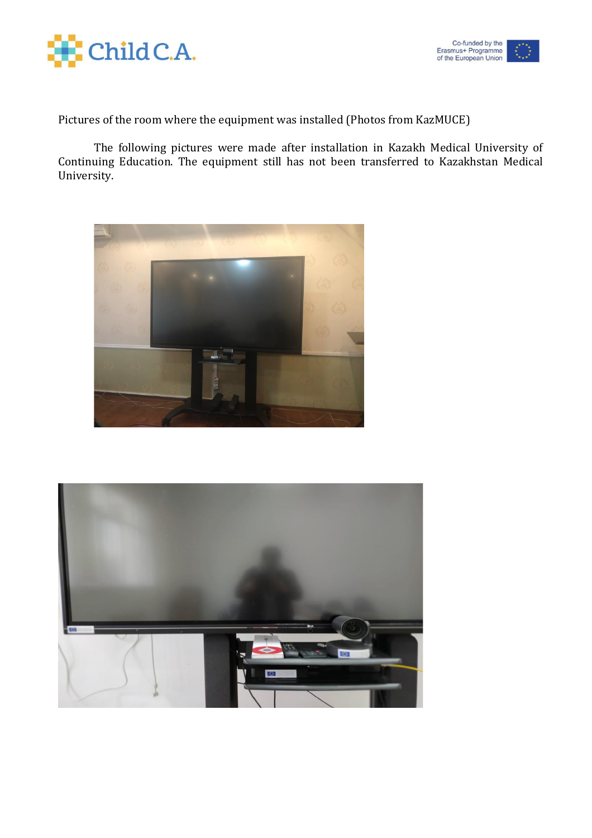



Pictures of the room where the equipment was installed (Photos from KazMUCE)

The following pictures were made after installation in Kazakh Medical University of Continuing Education. The equipment still has not been transferred to Kazakhstan Medical University.



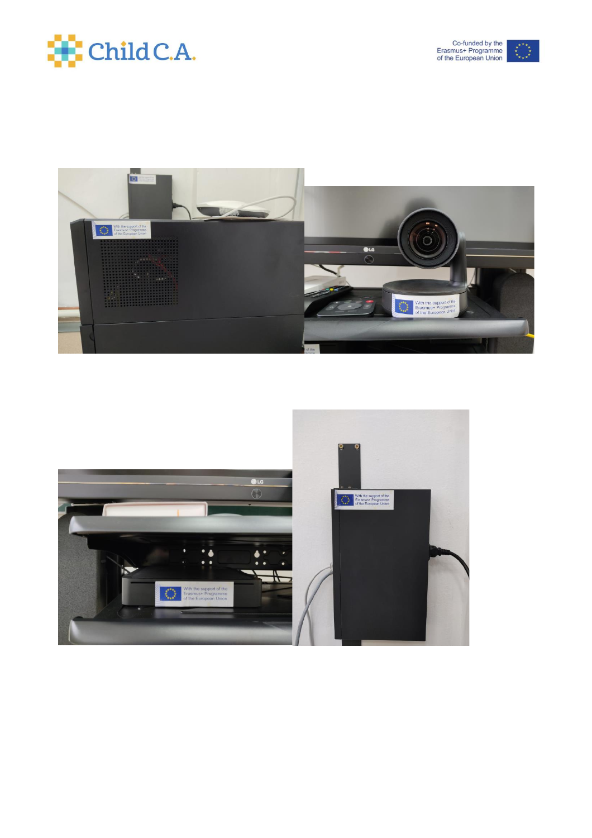





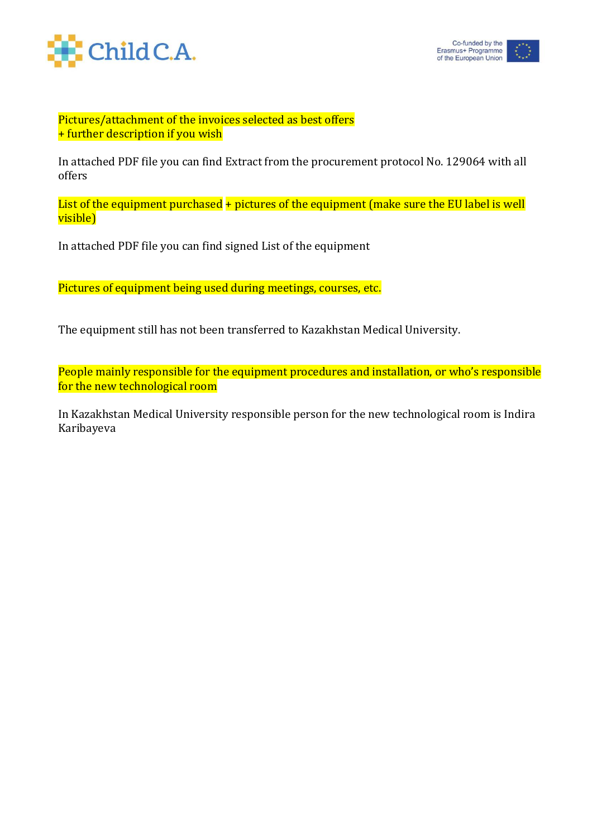



Pictures/attachment of the invoices selected as best offers + further description if you wish

In attached PDF file you can find Extract from the procurement protocol No. 129064 with all offers

List of the equipment purchased + pictures of the equipment (make sure the EU label is well visible)

In attached PDF file you can find signed List of the equipment

Pictures of equipment being used during meetings, courses, etc.

The equipment still has not been transferred to Kazakhstan Medical University.

People mainly responsible for the equipment procedures and installation, or who's responsible for the new technological room

In Kazakhstan Medical University responsible person for the new technological room is Indira Karibayeva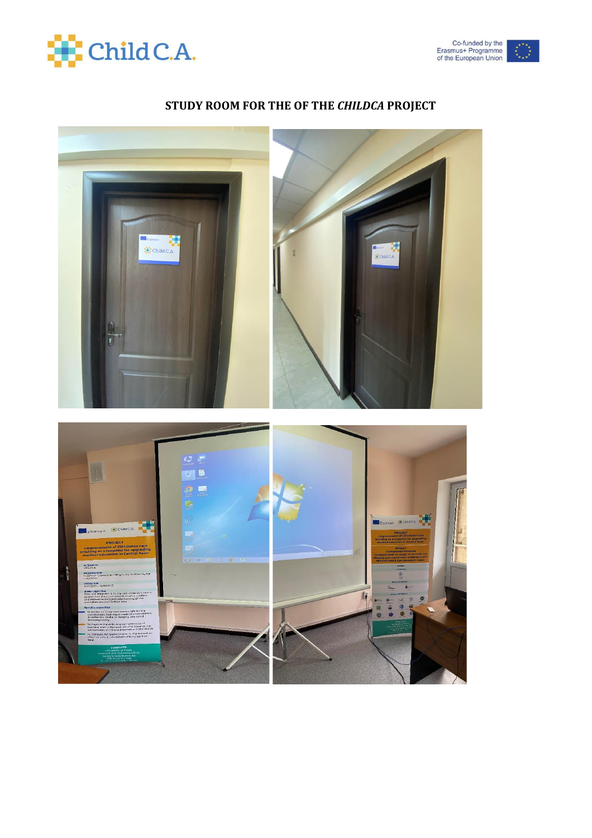



## **STUDY ROOM FOR THE OF THE** *CHILDCA* **PROJECT**